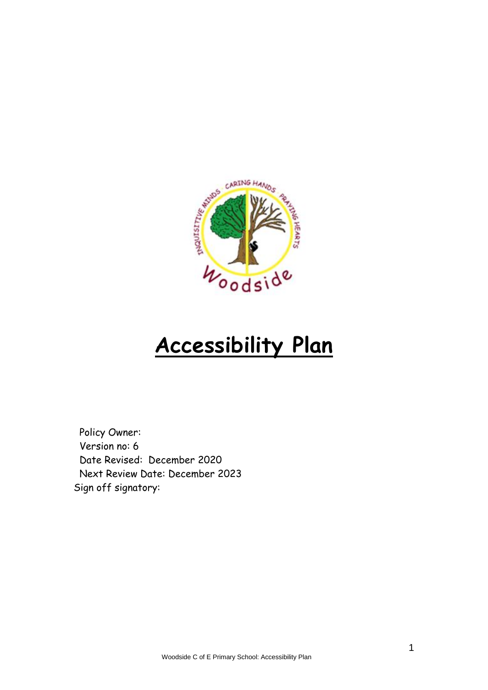

## **Accessibility Plan**

Policy Owner: Version no: 6 Date Revised: December 2020 Next Review Date: December 2023 Sign off signatory: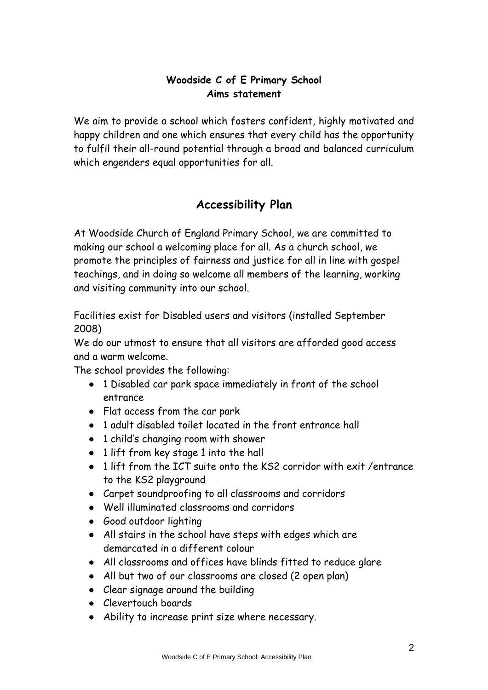## **Woodside C of E Primary School Aims statement**

We aim to provide a school which fosters confident, highly motivated and happy children and one which ensures that every child has the opportunity to fulfil their all-round potential through a broad and balanced curriculum which engenders equal opportunities for all.

## **Accessibility Plan**

At Woodside Church of England Primary School, we are committed to making our school a welcoming place for all. As a church school, we promote the principles of fairness and justice for all in line with gospel teachings, and in doing so welcome all members of the learning, working and visiting community into our school.

Facilities exist for Disabled users and visitors (installed September 2008)

We do our utmost to ensure that all visitors are afforded good access and a warm welcome.

The school provides the following:

- 1 Disabled car park space immediately in front of the school entrance
- Flat access from the car park
- 1 adult disabled toilet located in the front entrance hall
- 1 child's changing room with shower
- 1 lift from key stage 1 into the hall
- 1 lift from the ICT suite onto the KS2 corridor with exit /entrance to the KS2 playground
- Carpet soundproofing to all classrooms and corridors
- Well illuminated classrooms and corridors
- Good outdoor lighting
- All stairs in the school have steps with edges which are demarcated in a different colour
- All classrooms and offices have blinds fitted to reduce glare
- All but two of our classrooms are closed (2 open plan)
- Clear signage around the building
- Clevertouch boards
- Ability to increase print size where necessary.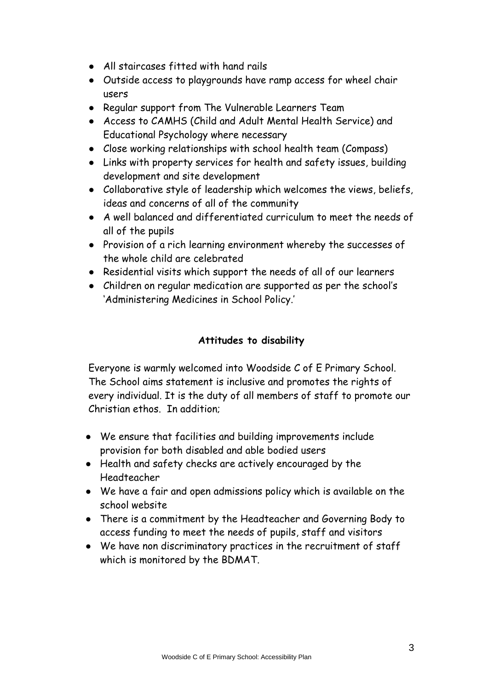- All staircases fitted with hand rails
- Outside access to playgrounds have ramp access for wheel chair users
- Regular support from The Vulnerable Learners Team
- Access to CAMHS (Child and Adult Mental Health Service) and Educational Psychology where necessary
- Close working relationships with school health team (Compass)
- Links with property services for health and safety issues, building development and site development
- Collaborative style of leadership which welcomes the views, beliefs, ideas and concerns of all of the community
- A well balanced and differentiated curriculum to meet the needs of all of the pupils
- Provision of a rich learning environment whereby the successes of the whole child are celebrated
- Residential visits which support the needs of all of our learners
- Children on regular medication are supported as per the school's 'Administering Medicines in School Policy.'

## **Attitudes to disability**

Everyone is warmly welcomed into Woodside C of E Primary School. The School aims statement is inclusive and promotes the rights of every individual. It is the duty of all members of staff to promote our Christian ethos. In addition;

- We ensure that facilities and building improvements include provision for both disabled and able bodied users
- Health and safety checks are actively encouraged by the Headteacher
- We have a fair and open admissions policy which is available on the school website
- There is a commitment by the Headteacher and Governing Body to access funding to meet the needs of pupils, staff and visitors
- We have non discriminatory practices in the recruitment of staff which is monitored by the BDMAT.